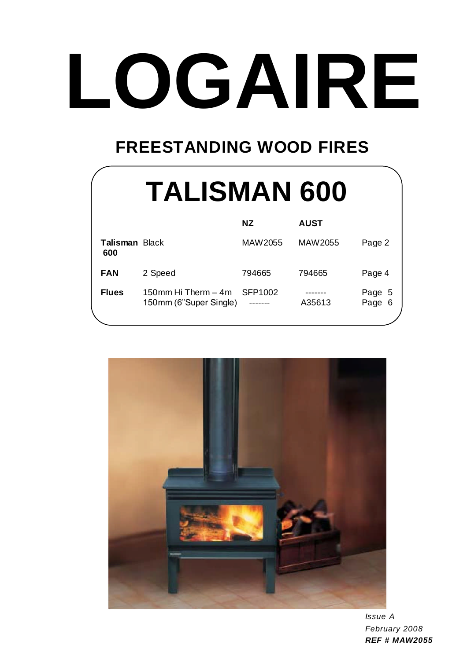## **FREESTANDING WOOD FIRES**

|                              | <b>TALISMAN 600</b>                           |           |             |                  |
|------------------------------|-----------------------------------------------|-----------|-------------|------------------|
|                              |                                               | <b>NZ</b> | <b>AUST</b> |                  |
| <b>Talisman Black</b><br>600 |                                               | MAW2055   | MAW2055     | Page 2           |
| <b>FAN</b>                   | 2 Speed                                       | 794665    | 794665      | Page 4           |
| <b>Flues</b>                 | 150mm Hi Therm – 4m<br>150mm (6"Super Single) | SFP1002   | A35613      | Page 5<br>Page 6 |



*Issue A February 2008 REF # MAW2055*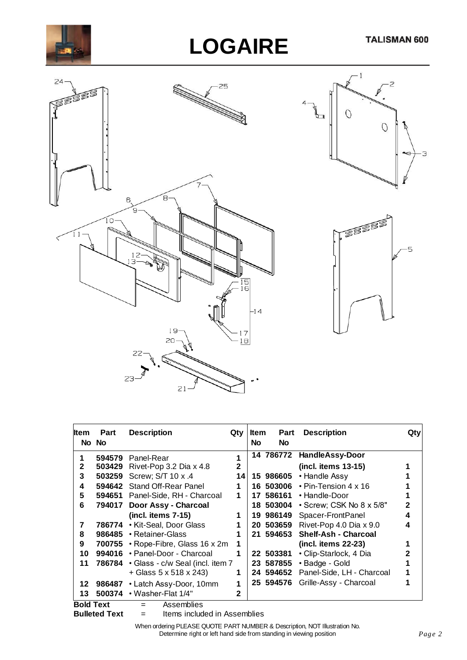







| Item             | <b>Part</b><br>No No | <b>Description</b>                       | Qty          | ltem<br><b>No</b> | Part<br><b>No</b> | <b>Description</b>                 | Qty          |
|------------------|----------------------|------------------------------------------|--------------|-------------------|-------------------|------------------------------------|--------------|
| 1                | 594579               | Panel-Rear                               |              |                   | 14 786772         | <b>HandleAssy-Door</b>             |              |
| $\mathbf{2}$     | 503429               | Rivet-Pop 3.2 Dia x 4.8                  | $\mathbf{2}$ |                   |                   | (incl. items 13-15)                |              |
| 3                | 503259               | Screw; S/T 10 x .4                       | 14           |                   | 15 986605         | • Handle Assy                      |              |
| 4                | 594642               | Stand Off-Rear Panel                     |              |                   | 16 503006         | $\cdot$ Pin-Tension 4 x 16         |              |
| 5                |                      | 594651 Panel-Side, RH - Charcoal         | 1            | 17                | 586161            | • Handle-Door                      |              |
| 6                |                      | 794017 Door Assy - Charcoal              |              |                   |                   | 18 503004 • Screw; CSK No 8 x 5/8" | $\mathbf{2}$ |
|                  |                      | $(incl.$ items $7-15)$                   | 1            |                   | 19 986149         | Spacer-FrontPanel                  | 4            |
| 7                | 786774               | • Kit-Seal, Door Glass                   |              |                   | 20 503659         | Rivet-Pop 4.0 Dia x 9.0            | 4            |
| 8                | 986485               | • Retainer-Glass                         |              |                   | 21 594653         | <b>Shelf-Ash - Charcoal</b>        |              |
| 9                |                      | 700755 $\cdot$ Rope-Fibre, Glass 16 x 2m |              |                   |                   | (incl. items 22-23)                |              |
| 10               | 994016               | • Panel-Door - Charcoal                  |              |                   | 22 503381         | • Clip-Starlock, 4 Dia             | 2            |
| 11               |                      | 786784 · Glass - c/w Seal (incl. item 7  |              |                   | 23 587855         | • Badge - Gold                     |              |
|                  |                      | + Glass 5 x 518 x 243)                   |              |                   | 24 594652         | Panel-Side, LH - Charcoal          |              |
| 12               | 986487               | • Latch Assy-Door, 10mm                  |              |                   | 25 594576         | Grille-Assy - Charcoal             |              |
| 13               | 500374               | • Washer-Flat 1/4"                       | 2            |                   |                   |                                    |              |
| <b>Bold Text</b> |                      | Assemblies                               |              |                   |                   |                                    |              |



 $=$  Items included in Assemblies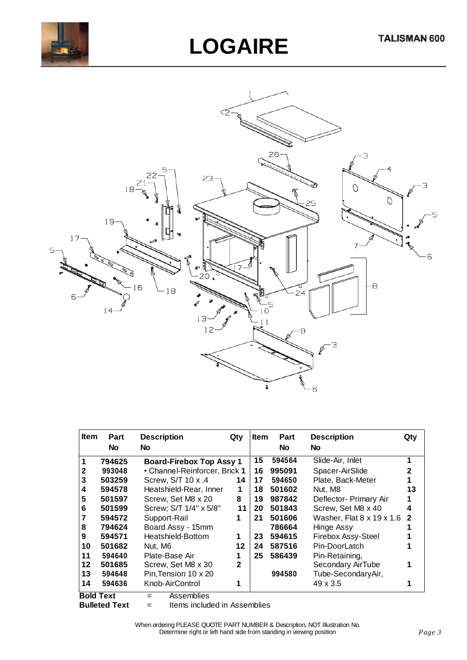



| <b>Item</b>      | Part<br><b>No</b> | <b>Description</b><br>No        | Qty          | <b>Item</b> | Part<br><b>No</b> | <b>Description</b><br><b>No</b>       | Qty            |
|------------------|-------------------|---------------------------------|--------------|-------------|-------------------|---------------------------------------|----------------|
| 1                | 794625            | <b>Board-Firebox Top Assy 1</b> |              | 15          | 594564            | Slide-Air, Inlet                      | 1              |
| 2                | 993048            | • Channel-Reinforcer, Brick 1   |              | 16          | 995091            | Spacer-AirSlide                       | 2              |
| 3                | 503259            | Screw, S/T 10 x .4              | 14           | 17          | 594650            | Plate, Back-Meter                     |                |
| 4                | 594578            | Heatshield-Rear, Inner          | 1            | 18          | 501602            | Nut, M8                               | 13             |
| 5                | 501597            | Screw, Set M8 x 20              | 8            | 19          | 987842            | Deflector- Primary Air                |                |
| 6                | 501599            | Screw; S/T 1/4" x 5/8"          | 11           | 20          | 501843            | Screw, Set M8 x 40                    | 4              |
|                  | 594572            | Support-Rail                    | 1            | 21          | 501606            | Washer, Flat $8 \times 19 \times 1.6$ | $\overline{2}$ |
| 8                | 794624            | Board Assy - 15mm               |              |             | 786664            | <b>Hinge Assy</b>                     |                |
| 9                | 594571            | Heatshield-Bottom               | 1            | 23          | 594615            | Firebox Assy-Steel                    |                |
| 10               | 501682            | Nut. M6                         | 12           | 24          | 587516            | Pin-DoorLatch                         |                |
| 11               | 594640            | Plate-Base Air                  |              | 25          | 586439            | Pin-Retaining,                        |                |
| 12               | 501685            | Screw, Set M8 x 30              | $\mathbf{2}$ |             |                   | Secondary AirTube                     |                |
| 13               | 594648            | Pin, Tension 10 x 20            |              |             | 994580            | Tube-SecondaryAir,                    |                |
| 14               | 594636            | Knob-AirControl                 |              |             |                   | $49 \times 3.5$                       |                |
| <b>Bold Text</b> |                   | Assemblies<br>$=$               |              |             |                   |                                       |                |

**Bulleted Text** = Items included in Assemblies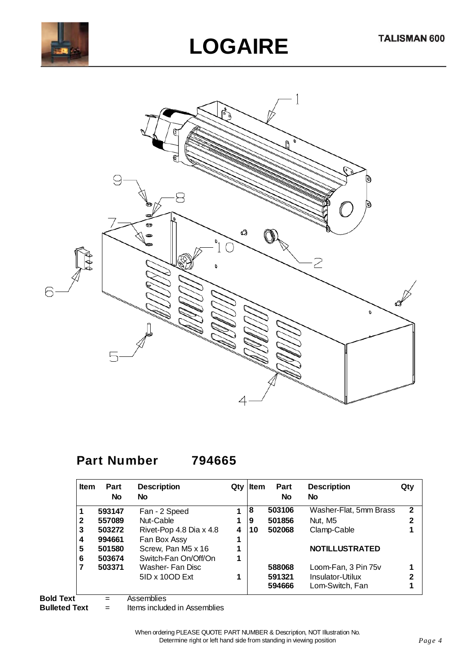



### **Part Number 794665**

| <b>Item</b> | Part<br>No | <b>Description</b><br>No | Qty | Item | Part<br><b>No</b> | <b>Description</b><br>No | Qty          |
|-------------|------------|--------------------------|-----|------|-------------------|--------------------------|--------------|
|             | 593147     | Fan - 2 Speed            | 1   | 8    | 503106            | Washer-Flat, 5mm Brass   | $\mathbf{2}$ |
| 2           | 557089     | Nut-Cable                | 1   | 9    | 501856            | Nut, M5                  | 2            |
| 3           | 503272     | Rivet-Pop 4.8 Dia x 4.8  | 4   | 10   | 502068            | Clamp-Cable              |              |
| 4           | 994661     | Fan Box Assy             | 1   |      |                   |                          |              |
| 5           | 501580     | Screw, Pan M5 x 16       |     |      |                   | <b>NOTILLUSTRATED</b>    |              |
| 6           | 503674     | Switch-Fan On/Off/On     | 1   |      |                   |                          |              |
| 7           | 503371     | Washer- Fan Disc         |     |      | 588068            | Loom-Fan, 3 Pin 75v      |              |
|             |            | $5ID \times 10OD$ Ext    |     |      | 591321            | Insulator-Utilux         | 2            |
|             |            |                          |     |      | 594666            | Lom-Switch, Fan          |              |

**Bold Text** = Assemblies<br>**Bulleted Text** = Items includ

 $=$  Items included in Assemblies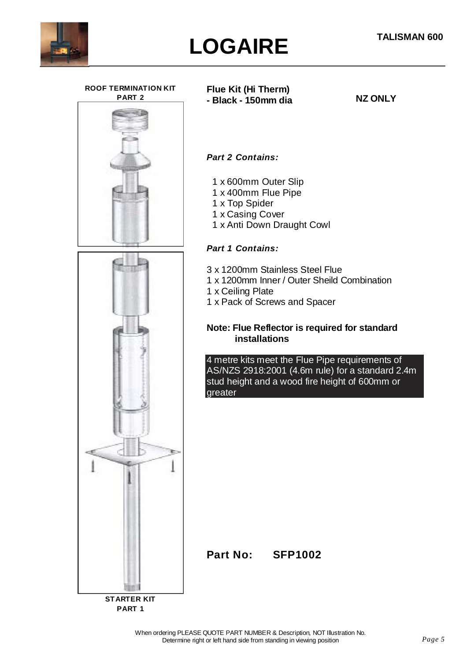



**ROOF TERMINATION KIT PART 2**



**Flue Kit (Hi Therm) - Black - 150mm dia**

**NZ ONLY**

#### *Part 2 Contains:*

- 1 x 600mm Outer Slip
- 1 x 400mm Flue Pipe
- 1 x Top Spider
- 1 x Casing Cover
- 1 x Anti Down Draught Cowl

#### *Part 1 Contains:*

- 3 x 1200mm Stainless Steel Flue
- 1 x 1200mm Inner / Outer Sheild Combination
- 1 x Ceiling Plate
- 1 x Pack of Screws and Spacer

#### **Note: Flue Reflector is required for standard installations**

4 metre kits meet the Flue Pipe requirements of AS/NZS 2918:2001 (4.6m rule) for a standard 2.4m stud height and a wood fire height of 600mm or greater

**Part No: SFP1002**

**STARTER KIT PART 1**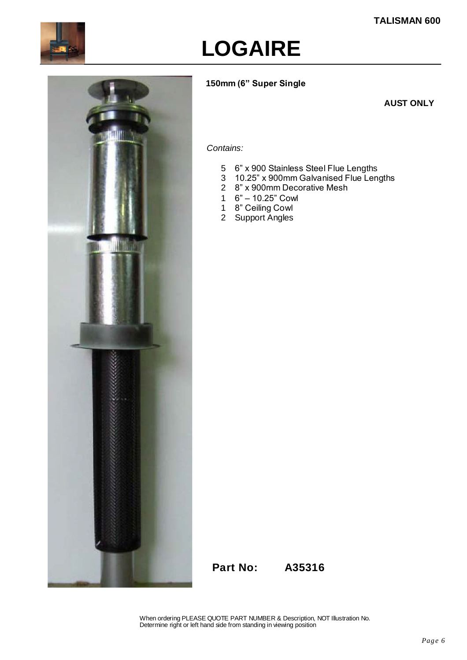

#### **150mm (6" Super Single**

#### **AUST ONLY**



#### *Contains:*

- 5 6" x 900 Stainless Steel Flue Lengths
- 3 10.25" x 900mm Galvanised Flue Lengths
- 2 8" x 900mm Decorative Mesh
- 1 6"–10.25"Cowl
- 1 8" Ceiling Cowl
- 2 Support Angles

**Part No: A35316**

When ordering PLEASE QUOTE PART NUMBER & Description, NOT Illustration No. Determine right or left hand side from standing in viewing position